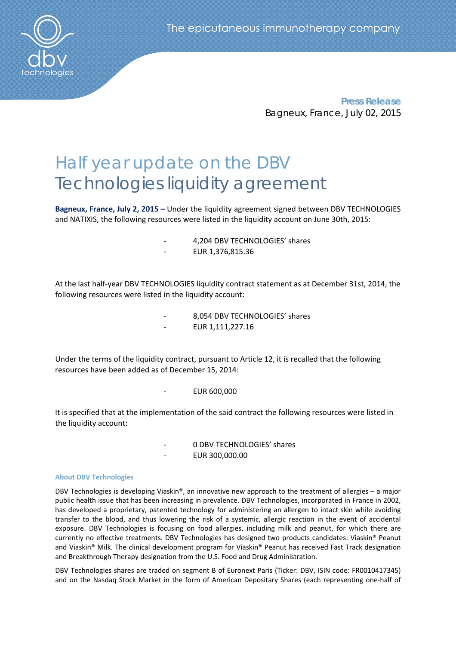

**Press Release** Bagneux, France, July 02, 2015

# Half year update on the DBV Technologies liquidity agreement

**Bagneux, France, July 2, 2015 –** Under the liquidity agreement signed between DBV TECHNOLOGIES and NATIXIS, the following resources were listed in the liquidity account on June 30th, 2015:

- ‐ 4,204 DBV TECHNOLOGIES' shares
- ‐ EUR 1,376,815.36

At the last half‐year DBV TECHNOLOGIES liquidity contract statement as at December 31st, 2014, the following resources were listed in the liquidity account:

> ‐ 8,054 DBV TECHNOLOGIES' shares ‐ EUR 1,111,227.16

Under the terms of the liquidity contract, pursuant to Article 12, it is recalled that the following resources have been added as of December 15, 2014:

‐ EUR 600,000

It is specified that at the implementation of the said contract the following resources were listed in the liquidity account:

> ‐ 0 DBV TECHNOLOGIES' shares ‐ EUR 300,000.00

## **About DBV Technologies**

DBV Technologies is developing Viaskin®, an innovative new approach to the treatment of allergies – a major public health issue that has been increasing in prevalence. DBV Technologies, incorporated in France in 2002, has developed a proprietary, patented technology for administering an allergen to intact skin while avoiding transfer to the blood, and thus lowering the risk of a systemic, allergic reaction in the event of accidental exposure. DBV Technologies is focusing on food allergies, including milk and peanut, for which there are currently no effective treatments. DBV Technologies has designed two products candidates: Viaskin® Peanut and Viaskin® Milk. The clinical development program for Viaskin® Peanut has received Fast Track designation and Breakthrough Therapy designation from the U.S. Food and Drug Administration.

DBV Technologies shares are traded on segment B of Euronext Paris (Ticker: DBV, ISIN code: FR0010417345) and on the Nasdaq Stock Market in the form of American Depositary Shares (each representing one‐half of